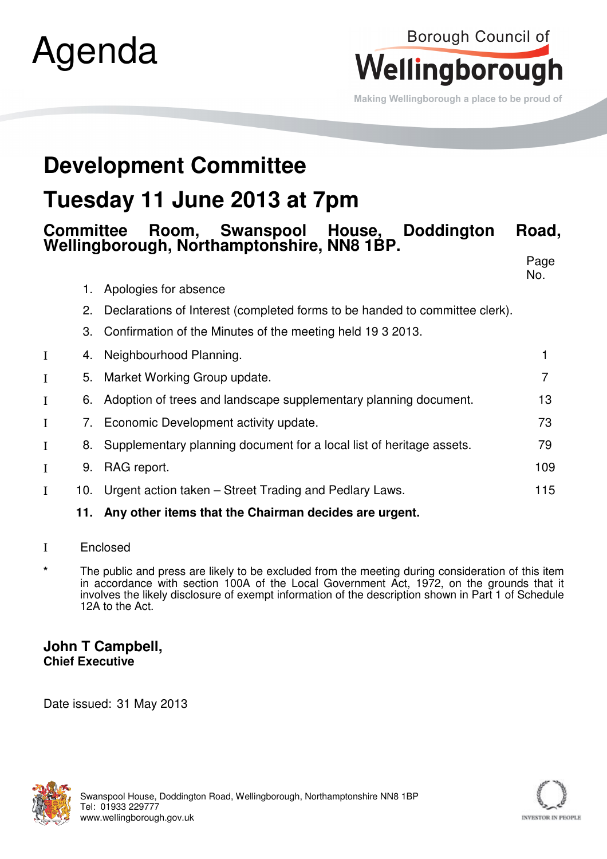

# Borough Council of Wellingborough

Making Wellingborough a place to be proud of

## **Development Committee**

## **Tuesday 11 June 2013 at 7pm**

#### **Committee Room, Swanspool House, Doddington Road, Wellingborough, Northamptonshire, NN8 1BP.**

en de la provincia de la provincia de la provincia de la provincia de la provincia de la provincia de la provi

|   |     |                                                                             | No.            |
|---|-----|-----------------------------------------------------------------------------|----------------|
|   | 1.  | Apologies for absence                                                       |                |
|   | 2.  | Declarations of Interest (completed forms to be handed to committee clerk). |                |
|   | 3.  | Confirmation of the Minutes of the meeting held 19 3 2013.                  |                |
|   | 4.  | Neighbourhood Planning.                                                     |                |
|   | 5.  | Market Working Group update.                                                | $\overline{7}$ |
|   | 6.  | Adoption of trees and landscape supplementary planning document.            | 13             |
|   |     | 7. Economic Development activity update.                                    | 73             |
|   | 8.  | Supplementary planning document for a local list of heritage assets.        | 79             |
| I | 9.  | RAG report.                                                                 | 109            |
| I | 10. | Urgent action taken – Street Trading and Pedlary Laws.                      | 115            |
|   |     | 11. Any other items that the Chairman decides are urgent.                   |                |

- Ι Enclosed
- The public and press are likely to be excluded from the meeting during consideration of this item in accordance with section 100A of the Local Government Act, 1972, on the grounds that it involves the likely disclosure of exempt information of the description shown in Part 1 of Schedule 12A to the Act.

#### **John T Campbell, Chief Executive**

Date issued: 31 May 2013